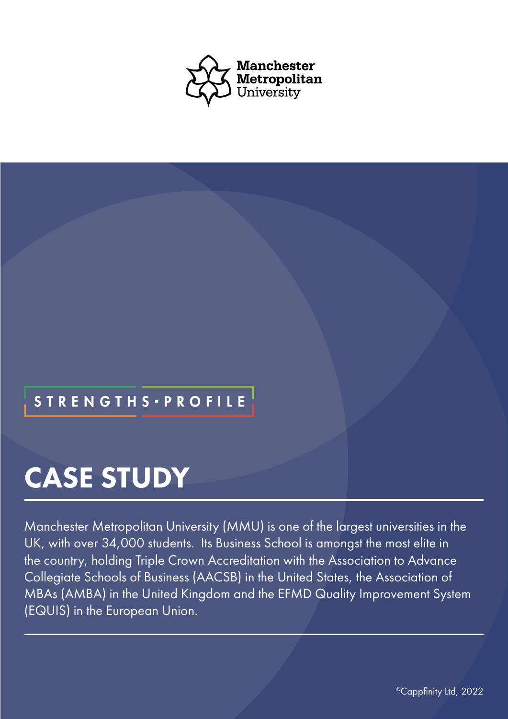

## **STRENGTHS - PROFILE**

# CASE STUDY

Manchester Metropolitan University (MMU) is one of the largest universities in the UK, with over 34,000 students. Its Business School is amongst the most elite in the country, holding Triple Crown Accreditation with the Association to Advance Collegiate Schools of Business (AACSB) in the United States, the Association of MBAs (AMBA) in the United Kingdom and the EFMD Quality Improvement System (EQUIS) in the European Union.